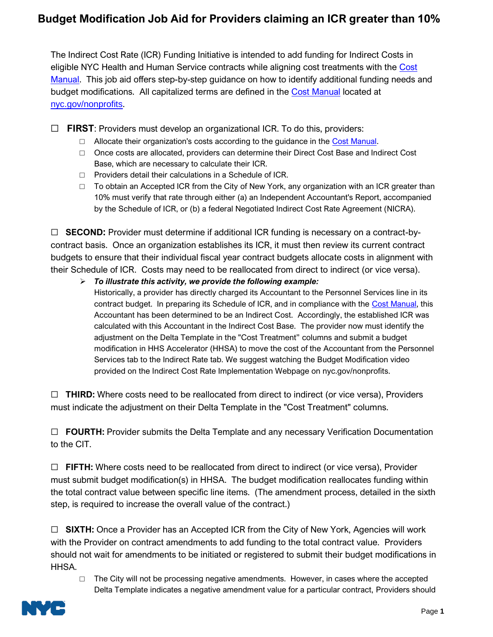## **Budget Modification Job Aid for Providers claiming an ICR greater than 10%**

The Indirect Cost Rate (ICR) Funding Initiative is intended to add funding for Indirect Costs in eligible NYC Health and Human Service contracts while aligning cost treatments with the [Cost](https://www1.nyc.gov/site/nonprofits/funded-providers/indirect-implementation.page)  [Manual.](https://www1.nyc.gov/site/nonprofits/funded-providers/indirect-implementation.page) This job aid offers step-by-step guidance on how to identify additional funding needs and budget modifications. All capitalized terms are defined in the [Cost Manual](https://www1.nyc.gov/site/nonprofits/funded-providers/indirect-implementation.page) located at [nyc.gov/nonprofits](https://www1.nyc.gov/site/nonprofits/index.page).

☐ **FIRST**: Providers must develop an organizational ICR. To do this, providers:

- $\Box$  Allocate their organization's costs according to the guidance in the [Cost Manual.](https://www1.nyc.gov/site/nonprofits/funded-providers/indirect-implementation.page)
- □ Once costs are allocated, providers can determine their Direct Cost Base and Indirect Cost Base, which are necessary to calculate their ICR.
- □ Providers detail their calculations in a Schedule of ICR.
- $\Box$  To obtain an Accepted ICR from the City of New York, any organization with an ICR greater than 10% must verify that rate through either (a) an Independent Accountant's Report, accompanied by the Schedule of ICR, or (b) a federal Negotiated Indirect Cost Rate Agreement (NICRA).

☐ **SECOND:** Provider must determine if additional ICR funding is necessary on a contract-bycontract basis. Once an organization establishes its ICR, it must then review its current contract budgets to ensure that their individual fiscal year contract budgets allocate costs in alignment with their Schedule of ICR. Costs may need to be reallocated from direct to indirect (or vice versa).

➢ *To illustrate this activity, we provide the following example:* Historically, a provider has directly charged its Accountant to the Personnel Services line in its contract budget. In preparing its Schedule of ICR, and in compliance with the [Cost Manual,](https://www1.nyc.gov/site/nonprofits/funded-providers/indirect-implementation.page) this Accountant has been determined to be an Indirect Cost. Accordingly, the established ICR was calculated with this Accountant in the Indirect Cost Base. The provider now must identify the adjustment on the Delta Template in the "Cost Treatment" columns and submit a budget modification in HHS Accelerator (HHSA) to move the cost of the Accountant from the Personnel Services tab to the Indirect Rate tab. We suggest watching the Budget Modification video provided on the Indirect Cost Rate Implementation Webpage on nyc.gov/nonprofits.

☐ **THIRD:** Where costs need to be reallocated from direct to indirect (or vice versa), Providers must indicate the adjustment on their Delta Template in the "Cost Treatment" columns.

☐ **FOURTH:** Provider submits the Delta Template and any necessary Verification Documentation to the CIT.

☐ **FIFTH:** Where costs need to be reallocated from direct to indirect (or vice versa), Provider must submit budget modification(s) in HHSA. The budget modification reallocates funding within the total contract value between specific line items. (The amendment process, detailed in the sixth step, is required to increase the overall value of the contract.)

☐ **SIXTH:** Once a Provider has an Accepted ICR from the City of New York, Agencies will work with the Provider on contract amendments to add funding to the total contract value. Providers should not wait for amendments to be initiated or registered to submit their budget modifications in HHSA.

□ The City will not be processing negative amendments. However, in cases where the accepted Delta Template indicates a negative amendment value for a particular contract, Providers should